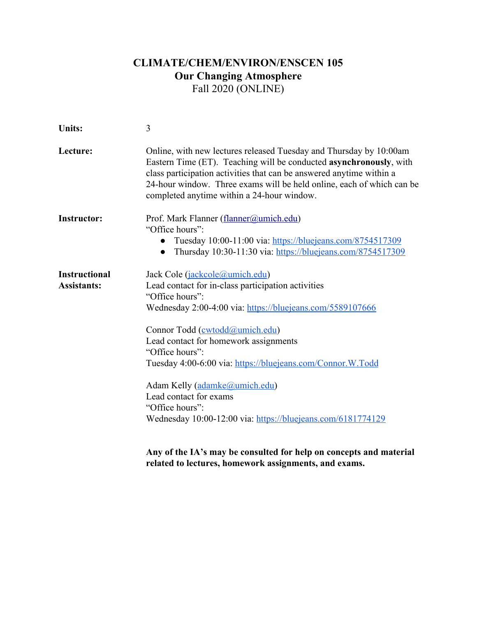# **CLIMATE/CHEM/ENVIRON/ENSCEN 105 Our Changing Atmosphere**  Fall 2020 (ONLINE)

| 3                                                                                                                                                                                                                                                                                                                                                                                                                                                                                                                                                                                                            |  |  |
|--------------------------------------------------------------------------------------------------------------------------------------------------------------------------------------------------------------------------------------------------------------------------------------------------------------------------------------------------------------------------------------------------------------------------------------------------------------------------------------------------------------------------------------------------------------------------------------------------------------|--|--|
| Online, with new lectures released Tuesday and Thursday by 10:00am<br>Eastern Time (ET). Teaching will be conducted asynchronously, with<br>class participation activities that can be answered anytime within a<br>24-hour window. Three exams will be held online, each of which can be<br>completed anytime within a 24-hour window.                                                                                                                                                                                                                                                                      |  |  |
| Prof. Mark Flanner (flanner@umich.edu)<br>"Office hours":<br>Tuesday 10:00-11:00 via: https://bluejeans.com/8754517309<br>$\bullet$<br>Thursday 10:30-11:30 via: https://bluejeans.com/8754517309<br>$\bullet$                                                                                                                                                                                                                                                                                                                                                                                               |  |  |
| Jack Cole (jackcole@umich.edu)<br>Lead contact for in-class participation activities<br>"Office hours":<br>Wednesday 2:00-4:00 via: https://bluejeans.com/5589107666<br>Connor Todd (cwtodd@umich.edu)<br>Lead contact for homework assignments<br>"Office hours":<br>Tuesday 4:00-6:00 via: https://bluejeans.com/Connor.W.Todd<br>Adam Kelly (adamke@umich.edu)<br>Lead contact for exams<br>"Office hours":<br>Wednesday 10:00-12:00 via: https://bluejeans.com/6181774129<br>Any of the IA's may be consulted for help on concepts and material<br>related to lectures, homework assignments, and exams. |  |  |
|                                                                                                                                                                                                                                                                                                                                                                                                                                                                                                                                                                                                              |  |  |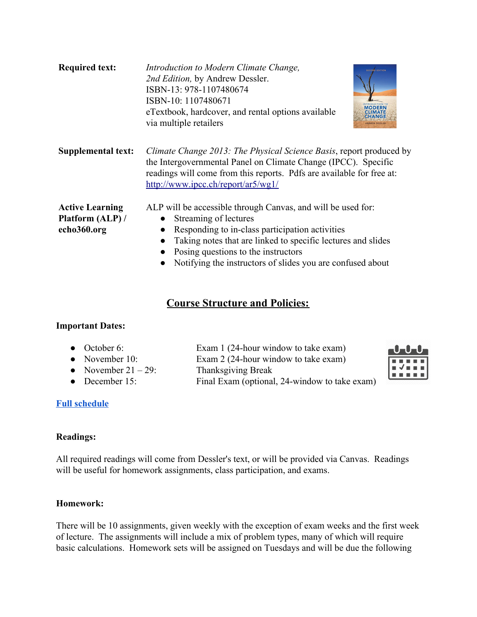| <b>Required text:</b>                                     | Introduction to Modern Climate Change,<br><b>SECOND EDITION</b><br>2nd Edition, by Andrew Dessler.<br>ISBN-13: 978-1107480674<br>ISBN-10: 1107480671<br>INTRODUCTION TO<br>MODERN<br>eTextbook, hardcover, and rental options available<br><b>CHANGE</b><br>via multiple retailers<br><b>IDREW DESSLEI</b>    |  |  |
|-----------------------------------------------------------|---------------------------------------------------------------------------------------------------------------------------------------------------------------------------------------------------------------------------------------------------------------------------------------------------------------|--|--|
| <b>Supplemental text:</b>                                 | Climate Change 2013: The Physical Science Basis, report produced by<br>the Intergovernmental Panel on Climate Change (IPCC). Specific<br>readings will come from this reports. Pdfs are available for free at:<br>http://www.ipcc.ch/report/ar5/wg1/                                                          |  |  |
| <b>Active Learning</b><br>Platform (ALP) /<br>echo360.org | ALP will be accessible through Canvas, and will be used for:<br>Streaming of lectures<br>Responding to in-class participation activities<br>Taking notes that are linked to specific lectures and slides<br>Posing questions to the instructors<br>Notifying the instructors of slides you are confused about |  |  |

## **Course Structure and Policies:**

### **Important Dates:**

• October 6: Exam 1 (24-hour window to take exam) • November 10: Exam 2 (24-hour window to take exam) • November  $21 - 29$ : Thanksgiving Break • December 15: Final Exam (optional, 24-window to take exam)



## **[Full schedule](https://docs.google.com/spreadsheets/d/129m2KpuB30tc7nUJAd4mZAwMLt7z2tYXUo0WbpchivM/edit?usp=sharing)**

### **Readings:**

All required readings will come from Dessler's text, or will be provided via Canvas. Readings will be useful for homework assignments, class participation, and exams.

### **Homework:**

There will be 10 assignments, given weekly with the exception of exam weeks and the first week of lecture. The assignments will include a mix of problem types, many of which will require basic calculations. Homework sets will be assigned on Tuesdays and will be due the following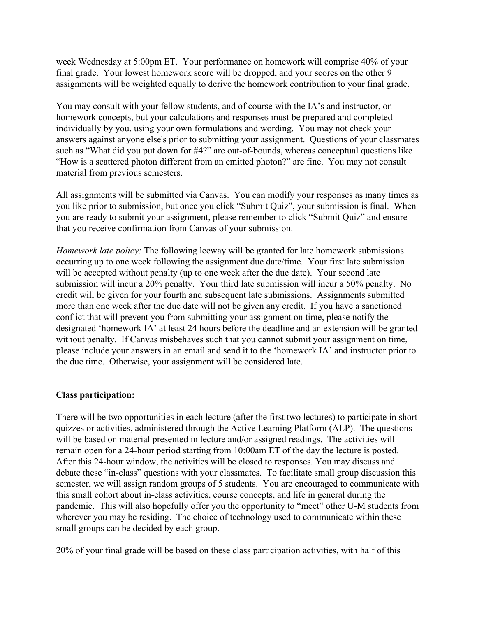week Wednesday at 5:00pm ET. Your performance on homework will comprise 40% of your final grade. Your lowest homework score will be dropped, and your scores on the other 9 assignments will be weighted equally to derive the homework contribution to your final grade.

You may consult with your fellow students, and of course with the IA's and instructor, on homework concepts, but your calculations and responses must be prepared and completed individually by you, using your own formulations and wording. You may not check your answers against anyone else's prior to submitting your assignment. Questions of your classmates such as "What did you put down for #4?" are out-of-bounds, whereas conceptual questions like "How is a scattered photon different from an emitted photon?" are fine. You may not consult material from previous semesters.

All assignments will be submitted via Canvas. You can modify your responses as many times as you like prior to submission, but once you click "Submit Quiz", your submission is final. When you are ready to submit your assignment, please remember to click "Submit Quiz" and ensure that you receive confirmation from Canvas of your submission.

*Homework late policy:* The following leeway will be granted for late homework submissions occurring up to one week following the assignment due date/time. Your first late submission will be accepted without penalty (up to one week after the due date). Your second late submission will incur a 20% penalty. Your third late submission will incur a 50% penalty. No credit will be given for your fourth and subsequent late submissions. Assignments submitted more than one week after the due date will not be given any credit. If you have a sanctioned conflict that will prevent you from submitting your assignment on time, please notify the designated 'homework IA' at least 24 hours before the deadline and an extension will be granted without penalty. If Canvas misbehaves such that you cannot submit your assignment on time, please include your answers in an email and send it to the 'homework IA' and instructor prior to the due time. Otherwise, your assignment will be considered late.

### **Class participation:**

There will be two opportunities in each lecture (after the first two lectures) to participate in short quizzes or activities, administered through the Active Learning Platform (ALP). The questions will be based on material presented in lecture and/or assigned readings. The activities will remain open for a 24-hour period starting from 10:00am ET of the day the lecture is posted. After this 24-hour window, the activities will be closed to responses. You may discuss and debate these "in-class" questions with your classmates. To facilitate small group discussion this semester, we will assign random groups of 5 students. You are encouraged to communicate with this small cohort about in-class activities, course concepts, and life in general during the pandemic. This will also hopefully offer you the opportunity to "meet" other U-M students from wherever you may be residing. The choice of technology used to communicate within these small groups can be decided by each group.

20% of your final grade will be based on these class participation activities, with half of this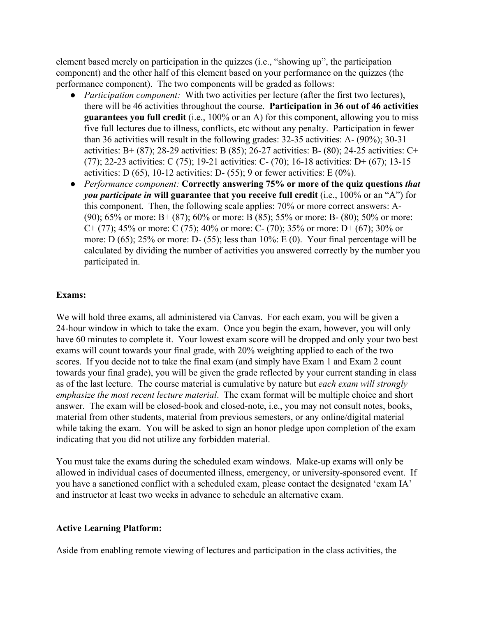element based merely on participation in the quizzes (i.e., "showing up", the participation component) and the other half of this element based on your performance on the quizzes (the performance component). The two components will be graded as follows:

- *Participation component:* With two activities per lecture (after the first two lectures), there will be 46 activities throughout the course. **Participation in 36 out of 46 activities guarantees you full credit** (i.e., 100% or an A) for this component, allowing you to miss five full lectures due to illness, conflicts, etc without any penalty. Participation in fewer than 36 activities will result in the following grades: 32-35 activities: A- (90%); 30-31 activities: B+  $(87)$ ; 28-29 activities: B $(85)$ ; 26-27 activities: B- $(80)$ ; 24-25 activities: C+ (77); 22-23 activities: C (75); 19-21 activities: C- (70); 16-18 activities: D+ (67); 13-15 activities: D  $(65)$ , 10-12 activities: D- $(55)$ ; 9 or fewer activities: E  $(0\%)$ .
- *Performance component:* **Correctly answering 75% or more of the quiz questions** *that you participate in* **will guarantee that you receive full credit** (i.e., 100% or an "A") for this component. Then, the following scale applies: 70% or more correct answers: A- (90); 65% or more: B+ (87); 60% or more: B (85); 55% or more: B- (80); 50% or more: C+ (77); 45% or more: C (75); 40% or more: C- (70); 35% or more: D+ (67); 30% or more: D (65); 25% or more: D- (55); less than 10%: E (0). Your final percentage will be calculated by dividing the number of activities you answered correctly by the number you participated in.

#### **Exams:**

We will hold three exams, all administered via Canvas. For each exam, you will be given a 24-hour window in which to take the exam. Once you begin the exam, however, you will only have 60 minutes to complete it. Your lowest exam score will be dropped and only your two best exams will count towards your final grade, with 20% weighting applied to each of the two scores. If you decide not to take the final exam (and simply have Exam 1 and Exam 2 count towards your final grade), you will be given the grade reflected by your current standing in class as of the last lecture. The course material is cumulative by nature but *each exam will strongly emphasize the most recent lecture material*. The exam format will be multiple choice and short answer. The exam will be closed-book and closed-note, i.e., you may not consult notes, books, material from other students, material from previous semesters, or any online/digital material while taking the exam. You will be asked to sign an honor pledge upon completion of the exam indicating that you did not utilize any forbidden material.

You must take the exams during the scheduled exam windows. Make-up exams will only be allowed in individual cases of documented illness, emergency, or university-sponsored event. If you have a sanctioned conflict with a scheduled exam, please contact the designated 'exam IA' and instructor at least two weeks in advance to schedule an alternative exam.

#### **Active Learning Platform:**

Aside from enabling remote viewing of lectures and participation in the class activities, the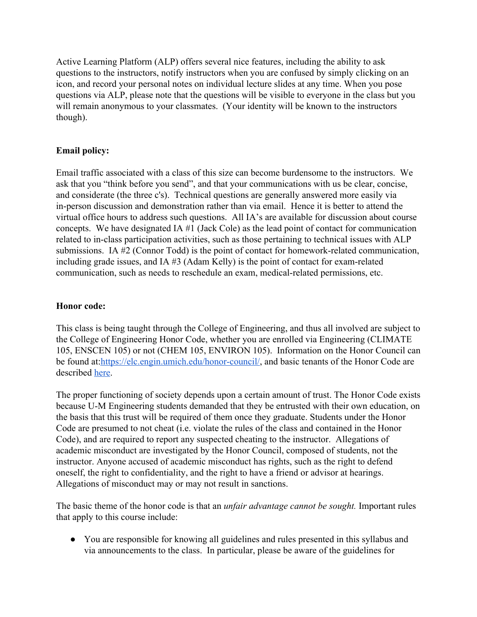Active Learning Platform (ALP) offers several nice features, including the ability to ask questions to the instructors, notify instructors when you are confused by simply clicking on an icon, and record your personal notes on individual lecture slides at any time. When you pose questions via ALP, please note that the questions will be visible to everyone in the class but you will remain anonymous to your classmates. (Your identity will be known to the instructors though).

### **Email policy:**

Email traffic associated with a class of this size can become burdensome to the instructors. We ask that you "think before you send", and that your communications with us be clear, concise, and considerate (the three c's). Technical questions are generally answered more easily via in-person discussion and demonstration rather than via email. Hence it is better to attend the virtual office hours to address such questions. All IA's are available for discussion about course concepts. We have designated IA #1 (Jack Cole) as the lead point of contact for communication related to in-class participation activities, such as those pertaining to technical issues with ALP submissions. IA #2 (Connor Todd) is the point of contact for homework-related communication, including grade issues, and IA #3 (Adam Kelly) is the point of contact for exam-related communication, such as needs to reschedule an exam, medical-related permissions, etc.

#### **Honor code:**

This class is being taught through the College of Engineering, and thus all involved are subject to the College of Engineering Honor Code, whether you are enrolled via Engineering (CLIMATE 105, ENSCEN 105) or not (CHEM 105, ENVIRON 105). Information on the Honor Council can be found at: https://elc.engin.umich.edu/honor-council/, and basic tenants of the Honor Code are described [here.](http://elc.engin.umich.edu/wp-content/uploads/sites/19/2019/03/Honor-Code-Pamphlet-2018.pdf)

The proper functioning of society depends upon a certain amount of trust. The Honor Code exists because U-M Engineering students demanded that they be entrusted with their own education, on the basis that this trust will be required of them once they graduate. Students under the Honor Code are presumed to not cheat (i.e. violate the rules of the class and contained in the Honor Code), and are required to report any suspected cheating to the instructor. Allegations of academic misconduct are investigated by the Honor Council, composed of students, not the instructor. Anyone accused of academic misconduct has rights, such as the right to defend oneself, the right to confidentiality, and the right to have a friend or advisor at hearings. Allegations of misconduct may or may not result in sanctions.

The basic theme of the honor code is that an *unfair advantage cannot be sought.* Important rules that apply to this course include:

● You are responsible for knowing all guidelines and rules presented in this syllabus and via announcements to the class. In particular, please be aware of the guidelines for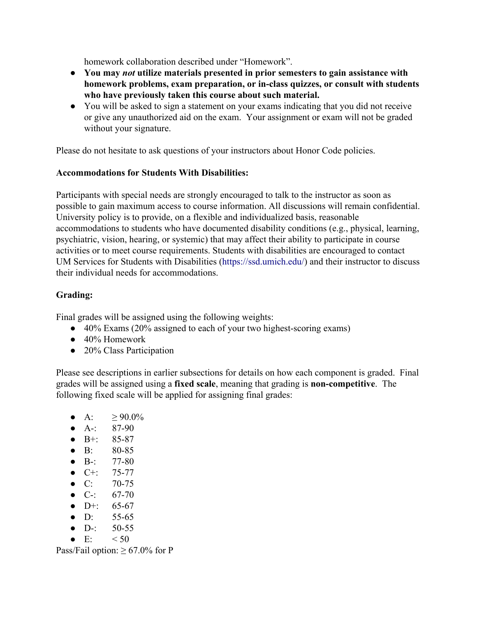homework collaboration described under "Homework".

- **● You may** *not* **utilize materials presented in prior semesters to gain assistance with homework problems, exam preparation, or in-class quizzes, or consult with students who have previously taken this course about such material.**
- You will be asked to sign a statement on your exams indicating that you did not receive or give any unauthorized aid on the exam. Your assignment or exam will not be graded without your signature.

Please do not hesitate to ask questions of your instructors about Honor Code policies.

#### **Accommodations for Students With Disabilities:**

Participants with special needs are strongly encouraged to talk to the instructor as soon as possible to gain maximum access to course information. All discussions will remain confidential. University policy is to provide, on a flexible and individualized basis, reasonable accommodations to students who have documented disability conditions (e.g., physical, learning, psychiatric, vision, hearing, or systemic) that may affect their ability to participate in course activities or to meet course requirements. Students with disabilities are encouraged to contact UM Services for Students with Disabilities [\(https://ssd.umich.edu/\)](https://ssd.umich.edu/) and their instructor to discuss their individual needs for accommodations.

### **Grading:**

Final grades will be assigned using the following weights:

- 40% Exams (20% assigned to each of your two highest-scoring exams)
- 40% Homework
- 20% Class Participation

Please see descriptions in earlier subsections for details on how each component is graded. Final grades will be assigned using a **fixed scale**, meaning that grading is **non-competitive**. The following fixed scale will be applied for assigning final grades:

- A:  $>90.0\%$
- $\bullet$  A-: 87-90
- $\bullet$  B+: 85-87
- B: 80-85
- $\bullet$  B-: 77-80
- $\bullet$  C+: 75-77
- C:  $70-75$
- C-:  $67-70$
- $\bullet$  D+: 65-67
- D:  $55-65$
- $\bullet$  D-: 50-55
- $\bullet$  E:  $< 50$

Pass/Fail option:  $\geq 67.0\%$  for P